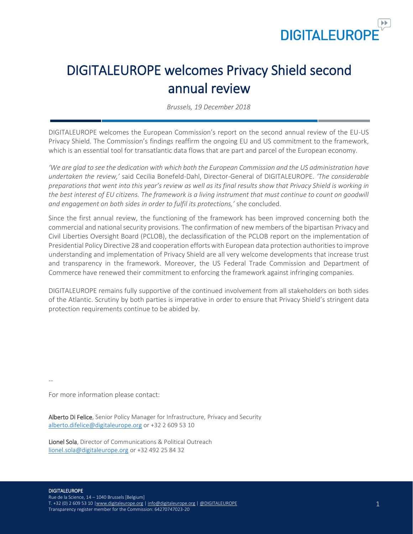

Ï

# DIGITALEUROPE welcomes Privacy Shield second annual review

*Brussels, 19 December 2018*

DIGITALEUROPE welcomes the European Commission's report on the second annual review of the EU-US Privacy Shield. The Commission's findings reaffirm the ongoing EU and US commitment to the framework, which is an essential tool for transatlantic data flows that are part and parcel of the European economy.

*'We are glad to see the dedication with which both the European Commission and the US administration have undertaken the review,'* said Cecilia Bonefeld-Dahl, Director-General of DIGITALEUROPE. *'The considerable preparations that went into this year's review as well as its final results show that Privacy Shield is working in*  the best interest of EU citizens. The framework is a living instrument that must continue to count on goodwill *and engagement on both sides in order to fulfil its protections,'* she concluded.

Since the first annual review, the functioning of the framework has been improved concerning both the commercial and nationalsecurity provisions. The confirmation of new members of the bipartisan Privacy and Civil Liberties Oversight Board (PCLOB), the declassification of the PCLOB report on the implementation of Presidential Policy Directive 28 and cooperation efforts with European data protection authorities to improve understanding and implementation of Privacy Shield are all very welcome developments that increase trust and transparency in the framework. Moreover, the US Federal Trade Commission and Department of Commerce have renewed their commitment to enforcing the framework against infringing companies.

DIGITALEUROPE remains fully supportive of the continued involvement from all stakeholders on both sides of the Atlantic. Scrutiny by both parties is imperative in order to ensure that Privacy Shield's stringent data protection requirements continue to be abided by.

--

For more information please contact:

Alberto Di Felice, Senior Policy Manager for Infrastructure, Privacy and Security [alberto.difelice@digitaleurope.org](mailto:alberto.difelice@digitaleurope.org) or +32 2 609 53 10

Lionel Sola, Director of Communications & Political Outreach [lionel.sola@digitaleurope.org](mailto:lionel.sola@digitaleurope.org) or +32 492 25 84 32